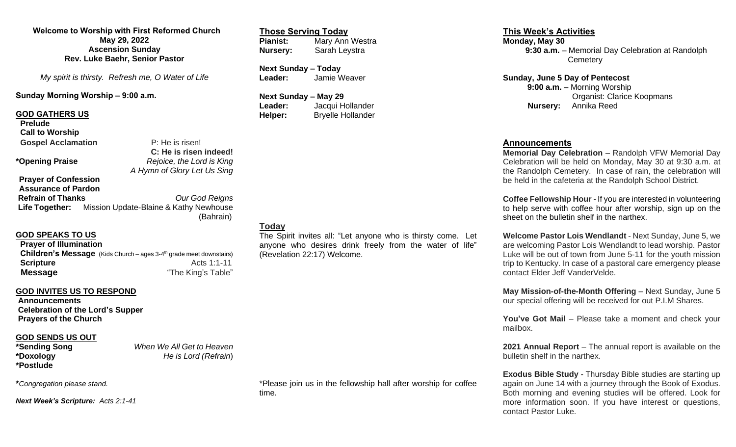#### **Welcome to Worship with First Reformed Church May 29, 2022 Ascension Sunday Rev. Luke Baehr, Senior Pastor**

*My spirit is thirsty. Refresh me, O Water of Life*

#### **Sunday Morning Worship – 9:00 a.m.**

#### **GOD GATHERS US**

**Prelude Call to Worship Gospel Acclamation P: He is risen!** 

 **C: He is risen indeed! \*Opening Praise** *Rejoice, the Lord is King A Hymn of Glory Let Us Sing* 

**Prayer of Confession Assurance of Pardon Refrain of Thanks** *Our God Reigns* **Life Together:** Mission Update-Blaine & Kathy Newhouse (Bahrain)

## **GOD SPEAKS TO US**

**Prayer of Illumination Children's Message** (Kids Church - ages 3-4<sup>th</sup> grade meet downstairs) **Scripture** Acts 1:1-11 **Message The King's Table" Message** 

# **GOD INVITES US TO RESPOND**

**Announcements Celebration of the Lord's Supper Prayers of the Church**

# **GOD SENDS US OUT**<br>\*Sending Song

**\*Postlude**

**When We All Get to Heaven \*Doxology** *He is Lord (Refrain*)

**\****Congregation please stand.*

*Next Week's Scripture: Acts 2:1-41*

#### **Those Serving Today Mary Ann Westra Nursery:** Sarah Leystra

**Next Sunday – Today Leader:** Jamie Weaver

**Next Sunday – May 29 Leader:** Jacqui Hollander **Helper:** Bryelle Hollander

# **Today**

The Spirit invites all: "Let anyone who is thirsty come. Let anyone who desires drink freely from the water of life" (Revelation 22:17) Welcome.

#### **This Week's Activities**

**Monday, May 30 9:30 a.m.** – Memorial Day Celebration at Randolph **Cemetery** 

**Sunday, June 5 Day of Pentecost 9:00 a.m.** – Morning Worship Organist: Clarice Koopmans **Nursery:** Annika Reed

### **Announcements**

**Memorial Day Celebration** – Randolph VFW Memorial Day Celebration will be held on Monday, May 30 at 9:30 a.m. at the Randolph Cemetery. In case of rain, the celebration will be held in the cafeteria at the Randolph School District.

**Coffee Fellowship Hour** - If you are interested in volunteering to help serve with coffee hour after worship, sign up on the sheet on the bulletin shelf in the narthex.

**Welcome Pastor Lois Wendlandt** - Next Sunday, June 5, we are welcoming Pastor Lois Wendlandt to lead worship. Pastor Luke will be out of town from June 5-11 for the youth mission trip to Kentucky. In case of a pastoral care emergency please contact Elder Jeff VanderVelde.

**May Mission-of-the-Month Offering** – Next Sunday, June 5 our special offering will be received for out P.I.M Shares.

**You've Got Mail** – Please take a moment and check your mailbox.

**2021 Annual Report** – The annual report is available on the bulletin shelf in the narthex.

**Exodus Bible Study** - Thursday Bible studies are starting up again on June 14 with a journey through the Book of Exodus. Both morning and evening studies will be offered. Look for more information soon. If you have interest or questions, contact Pastor Luke.

\*Please join us in the fellowship hall after worship for coffee time.